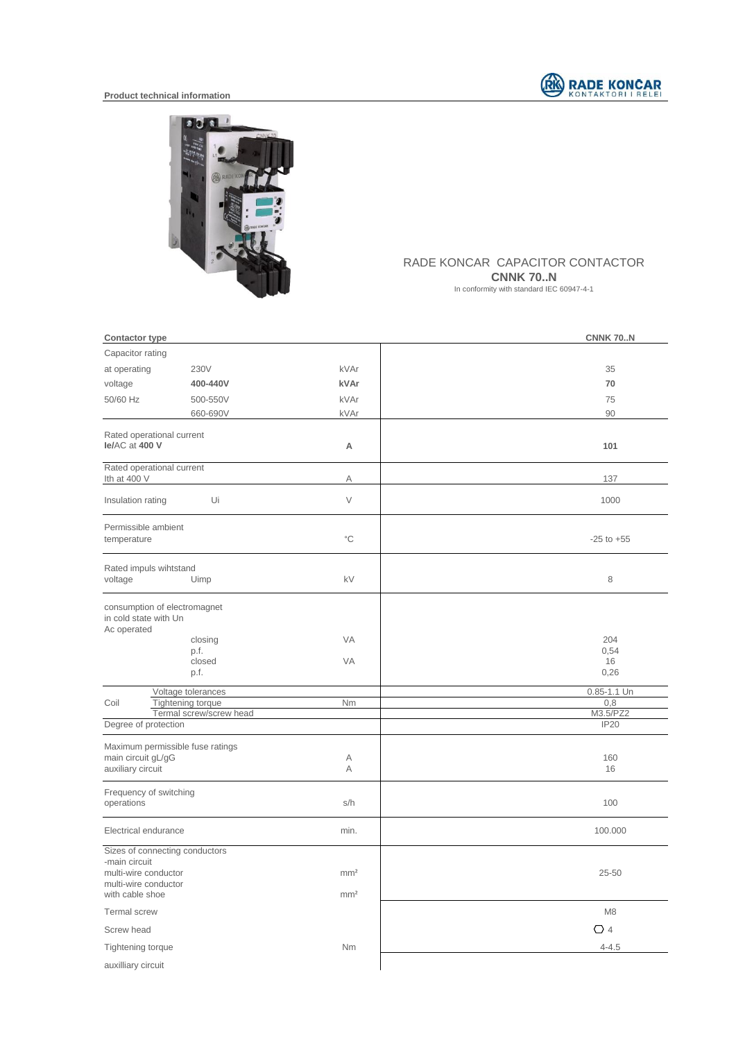



## RADE KONCAR CAPACITOR CONTACTOR

**CNNK 70..N** 

In conformity with standard IEC 60947-4-1

| <b>Contactor type</b>                                                                                              |                                              |                                    | <b>CNNK 70N</b> |
|--------------------------------------------------------------------------------------------------------------------|----------------------------------------------|------------------------------------|-----------------|
| Capacitor rating                                                                                                   |                                              |                                    |                 |
| at operating                                                                                                       | 230V                                         | kVAr                               | 35              |
| voltage                                                                                                            | 400-440V                                     | kVAr                               | 70              |
| 50/60 Hz                                                                                                           | 500-550V                                     | kVAr                               | 75              |
|                                                                                                                    | 660-690V                                     | kVAr                               | 90              |
| Rated operational current<br>le/AC at 400 V                                                                        |                                              | A                                  | 101             |
| Rated operational current<br>Ith at 400 V                                                                          |                                              | Α                                  | 137             |
| Insulation rating                                                                                                  | Ui                                           | $\vee$                             | 1000            |
| Permissible ambient<br>temperature                                                                                 |                                              | $^{\circ}{\rm C}$                  | $-25$ to $+55$  |
| Rated impuls wihtstand<br>voltage                                                                                  | Uimp                                         | kV                                 | 8               |
| consumption of electromagnet<br>in cold state with Un<br>Ac operated                                               | closing<br>p.f.                              | VA                                 | 204<br>0,54     |
|                                                                                                                    | closed<br>p.f.                               | VA                                 | 16<br>0,26      |
|                                                                                                                    | Voltage tolerances                           |                                    | 0.85-1.1 Un     |
| Coil                                                                                                               | Tightening torque<br>Termal screw/screw head | Nm                                 | 0,8<br>M3.5/PZ2 |
| Degree of protection                                                                                               |                                              |                                    | <b>IP20</b>     |
| Maximum permissible fuse ratings<br>main circuit gL/gG<br>auxiliary circuit                                        |                                              | Α<br>A                             | 160<br>16       |
| Frequency of switching<br>operations                                                                               |                                              | s/h                                | 100             |
| Electrical endurance                                                                                               |                                              | min.                               | 100.000         |
| Sizes of connecting conductors<br>-main circuit<br>multi-wire conductor<br>multi-wire conductor<br>with cable shoe |                                              | mm <sup>2</sup><br>mm <sup>2</sup> | $25 - 50$       |
| Termal screw                                                                                                       |                                              |                                    | M <sub>8</sub>  |
| Screw head                                                                                                         |                                              |                                    | $\bigcirc$ 4    |
| Tightening torque                                                                                                  |                                              | Nm                                 | $4 - 4.5$       |
| auxilliary circuit                                                                                                 |                                              |                                    |                 |